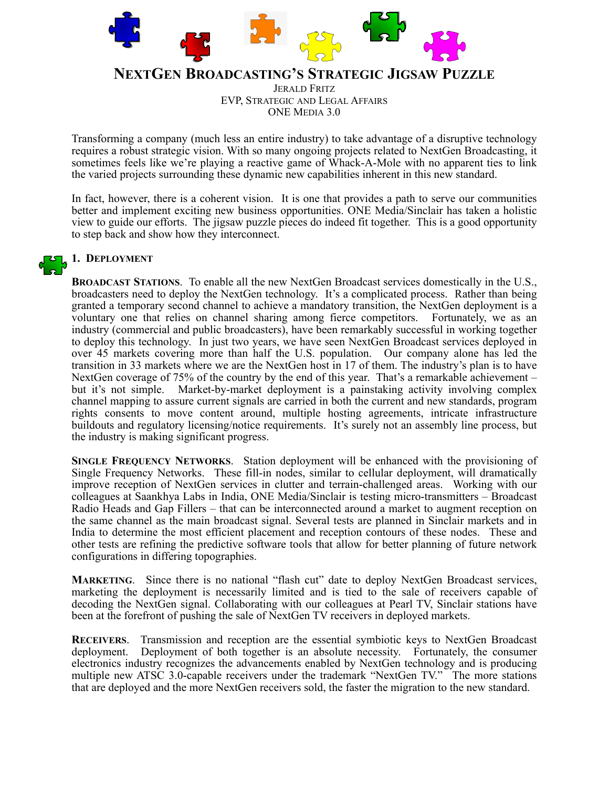

# **NEXTGEN BROADCASTING'S STRATEGIC JIGSAW PUZZLE**

JERALD FRITZ EVP, STRATEGIC AND LEGAL AFFAIRS ONE MEDIA 3.0

Transforming a company (much less an entire industry) to take advantage of a disruptive technology requires a robust strategic vision. With so many ongoing projects related to NextGen Broadcasting, it sometimes feels like we're playing a reactive game of Whack-A-Mole with no apparent ties to link the varied projects surrounding these dynamic new capabilities inherent in this new standard.

In fact, however, there is a coherent vision. It is one that provides a path to serve our communities better and implement exciting new business opportunities. ONE Media/Sinclair has taken a holistic view to guide our efforts. The jigsaw puzzle pieces do indeed fit together. This is a good opportunity to step back and show how they interconnect.

# **1. DEPLOYMENT**

**BROADCAST STATIONS**. To enable all the new NextGen Broadcast services domestically in the U.S., broadcasters need to deploy the NextGen technology. It's a complicated process. Rather than being granted a temporary second channel to achieve a mandatory transition, the NextGen deployment is a voluntary one that relies on channel sharing among fierce competitors. Fortunately, we as an industry (commercial and public broadcasters), have been remarkably successful in working together to deploy this technology. In just two years, we have seen NextGen Broadcast services deployed in over 45 markets covering more than half the U.S. population. Our company alone has led the transition in 33 markets where we are the NextGen host in 17 of them. The industry's plan is to have NextGen coverage of 75% of the country by the end of this year. That's a remarkable achievement – but it's not simple. Market-by-market deployment is a painstaking activity involving complex channel mapping to assure current signals are carried in both the current and new standards, program rights consents to move content around, multiple hosting agreements, intricate infrastructure buildouts and regulatory licensing/notice requirements. It's surely not an assembly line process, but the industry is making significant progress.

**SINGLE FREQUENCY NETWORKS**. Station deployment will be enhanced with the provisioning of Single Frequency Networks. These fill-in nodes, similar to cellular deployment, will dramatically improve reception of NextGen services in clutter and terrain-challenged areas. Working with our colleagues at Saankhya Labs in India, ONE Media/Sinclair is testing micro-transmitters – Broadcast Radio Heads and Gap Fillers – that can be interconnected around a market to augment reception on the same channel as the main broadcast signal. Several tests are planned in Sinclair markets and in India to determine the most efficient placement and reception contours of these nodes. These and other tests are refining the predictive software tools that allow for better planning of future network configurations in differing topographies.

**MARKETING**. Since there is no national "flash cut" date to deploy NextGen Broadcast services, marketing the deployment is necessarily limited and is tied to the sale of receivers capable of decoding the NextGen signal. Collaborating with our colleagues at Pearl TV, Sinclair stations have been at the forefront of pushing the sale of NextGen TV receivers in deployed markets.

**RECEIVERS**. Transmission and reception are the essential symbiotic keys to NextGen Broadcast deployment. Deployment of both together is an absolute necessity. Fortunately, the consumer electronics industry recognizes the advancements enabled by NextGen technology and is producing multiple new ATSC 3.0-capable receivers under the trademark "NextGen TV." The more stations that are deployed and the more NextGen receivers sold, the faster the migration to the new standard.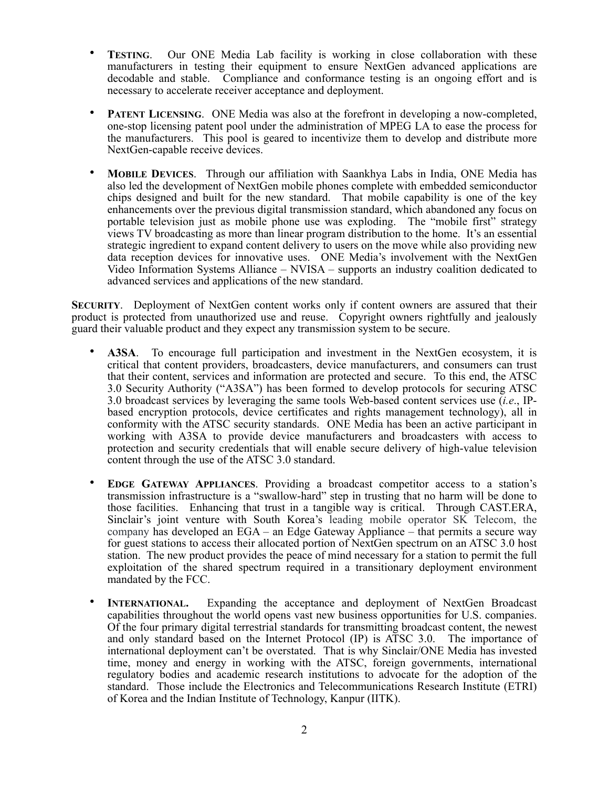- **TESTING.** Our ONE Media Lab facility is working in close collaboration with these manufacturers in testing their equipment to ensure NextGen advanced applications are decodable and stable. Compliance and conformance testing is an ongoing effort and is necessary to accelerate receiver acceptance and deployment.
- **PATENT LICENSING.** ONE Media was also at the forefront in developing a now-completed, one-stop licensing patent pool under the administration of MPEG LA to ease the process for the manufacturers. This pool is geared to incentivize them to develop and distribute more NextGen-capable receive devices.
- **MOBILE DEVICES**. Through our affiliation with Saankhya Labs in India, ONE Media has also led the development of NextGen mobile phones complete with embedded semiconductor chips designed and built for the new standard. That mobile capability is one of the key enhancements over the previous digital transmission standard, which abandoned any focus on portable television just as mobile phone use was exploding. The "mobile first" strategy views TV broadcasting as more than linear program distribution to the home. It's an essential strategic ingredient to expand content delivery to users on the move while also providing new data reception devices for innovative uses. ONE Media's involvement with the NextGen Video Information Systems Alliance – NVISA – supports an industry coalition dedicated to advanced services and applications of the new standard.

**SECURITY**. Deployment of NextGen content works only if content owners are assured that their product is protected from unauthorized use and reuse. Copyright owners rightfully and jealously guard their valuable product and they expect any transmission system to be secure.

- **A3SA**. To encourage full participation and investment in the NextGen ecosystem, it is critical that content providers, broadcasters, device manufacturers, and consumers can trust that their content, services and information are protected and secure. To this end, the ATSC 3.0 Security Authority ("A3SA") has been formed to develop protocols for securing ATSC 3.0 broadcast services by leveraging the same tools Web-based content services use (*i.e*., IPbased encryption protocols, device certificates and rights management technology), all in conformity with the ATSC security standards. ONE Media has been an active participant in working with A3SA to provide device manufacturers and broadcasters with access to protection and security credentials that will enable secure delivery of high-value television content through the use of the ATSC 3.0 standard.
- **EDGE GATEWAY APPLIANCES**. Providing a broadcast competitor access to a station's transmission infrastructure is a "swallow-hard" step in trusting that no harm will be done to those facilities. Enhancing that trust in a tangible way is critical. Through CAST.ERA, Sinclair's joint venture with South Korea's leading mobile operator SK Telecom, the company has developed an EGA – an Edge Gateway Appliance – that permits a secure way for guest stations to access their allocated portion of NextGen spectrum on an ATSC 3.0 host station. The new product provides the peace of mind necessary for a station to permit the full exploitation of the shared spectrum required in a transitionary deployment environment mandated by the FCC.
- **INTERNATIONAL.** Expanding the acceptance and deployment of NextGen Broadcast capabilities throughout the world opens vast new business opportunities for U.S. companies. Of the four primary digital terrestrial standards for transmitting broadcast content, the newest and only standard based on the Internet Protocol (IP) is ATSC 3.0. The importance of international deployment can't be overstated. That is why Sinclair/ONE Media has invested time, money and energy in working with the ATSC, foreign governments, international regulatory bodies and academic research institutions to advocate for the adoption of the standard. Those include the Electronics and Telecommunications Research Institute (ETRI) of Korea and the Indian Institute of Technology, Kanpur (IITK).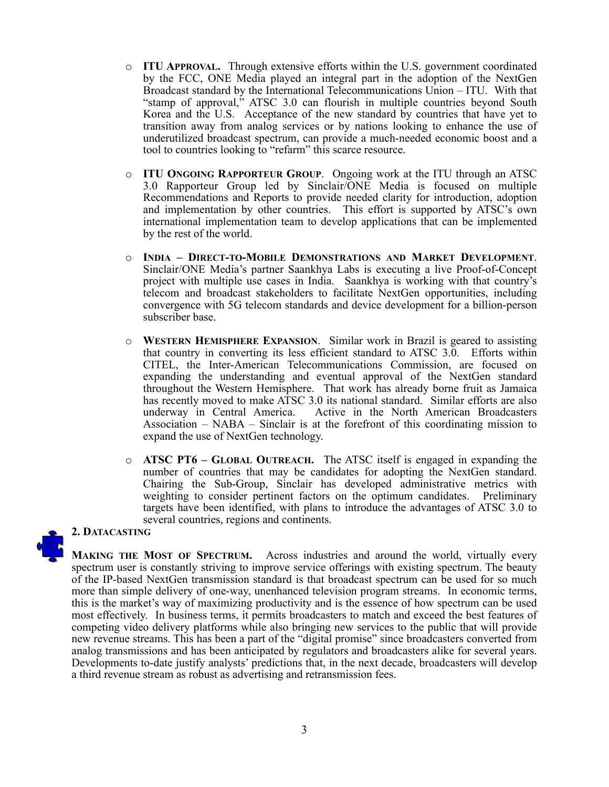- o **ITU APPROVAL.** Through extensive efforts within the U.S. government coordinated by the FCC, ONE Media played an integral part in the adoption of the NextGen Broadcast standard by the International Telecommunications Union – ITU. With that "stamp of approval," ATSC 3.0 can flourish in multiple countries beyond South Korea and the U.S. Acceptance of the new standard by countries that have yet to transition away from analog services or by nations looking to enhance the use of underutilized broadcast spectrum, can provide a much-needed economic boost and a tool to countries looking to "refarm" this scarce resource.
- o **ITU ONGOING RAPPORTEUR GROUP**. Ongoing work at the ITU through an ATSC 3.0 Rapporteur Group led by Sinclair/ONE Media is focused on multiple Recommendations and Reports to provide needed clarity for introduction, adoption and implementation by other countries. This effort is supported by ATSC's own international implementation team to develop applications that can be implemented by the rest of the world.
- o **INDIA DIRECT-TO-MOBILE DEMONSTRATIONS AND MARKET DEVELOPMENT**. Sinclair/ONE Media's partner Saankhya Labs is executing a live Proof-of-Concept project with multiple use cases in India. Saankhya is working with that country's telecom and broadcast stakeholders to facilitate NextGen opportunities, including convergence with 5G telecom standards and device development for a billion-person subscriber base.
- o **WESTERN HEMISPHERE EXPANSION**. Similar work in Brazil is geared to assisting that country in converting its less efficient standard to ATSC 3.0. Efforts within CITEL, the Inter-American Telecommunications Commission, are focused on expanding the understanding and eventual approval of the NextGen standard throughout the Western Hemisphere. That work has already borne fruit as Jamaica has recently moved to make ATSC 3.0 its national standard. Similar efforts are also underway in Central America. Active in the North American Broadcasters Association – NABA – Sinclair is at the forefront of this coordinating mission to expand the use of NextGen technology.
- o **ATSC PT6 GLOBAL OUTREACH.** The ATSC itself is engaged in expanding the number of countries that may be candidates for adopting the NextGen standard. Chairing the Sub-Group, Sinclair has developed administrative metrics with weighting to consider pertinent factors on the optimum candidates. Preliminary targets have been identified, with plans to introduce the advantages of ATSC 3.0 to several countries, regions and continents.

### **2. DATACASTING**

**MAKING THE MOST OF SPECTRUM.** Across industries and around the world, virtually every spectrum user is constantly striving to improve service offerings with existing spectrum. The beauty of the IP-based NextGen transmission standard is that broadcast spectrum can be used for so much more than simple delivery of one-way, unenhanced television program streams. In economic terms, this is the market's way of maximizing productivity and is the essence of how spectrum can be used most effectively. In business terms, it permits broadcasters to match and exceed the best features of competing video delivery platforms while also bringing new services to the public that will provide new revenue streams. This has been a part of the "digital promise" since broadcasters converted from analog transmissions and has been anticipated by regulators and broadcasters alike for several years. Developments to-date justify analysts' predictions that, in the next decade, broadcasters will develop a third revenue stream as robust as advertising and retransmission fees.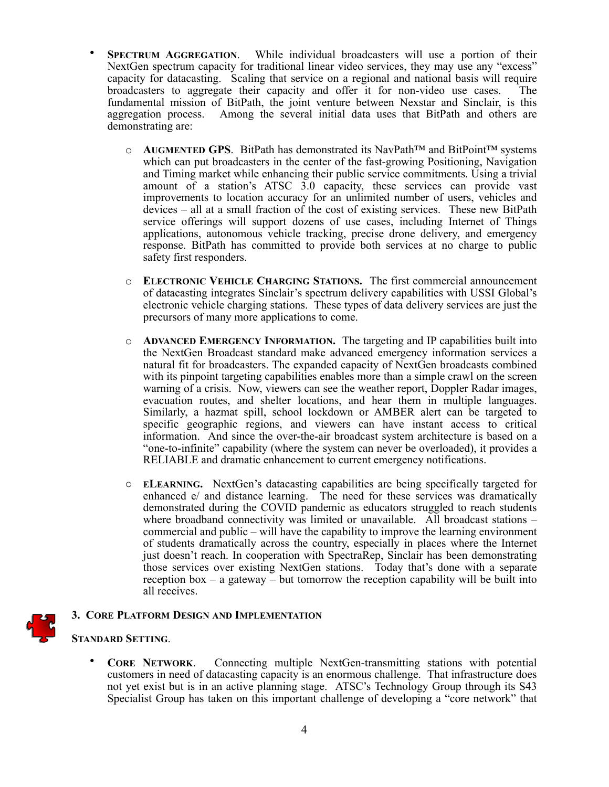- **SPECTRUM AGGREGATION**. While individual broadcasters will use a portion of their NextGen spectrum capacity for traditional linear video services, they may use any "excess" capacity for datacasting. Scaling that service on a regional and national basis will require broadcasters to aggregate their capacity and offer it for non-video use cases. The fundamental mission of BitPath, the joint venture between Nexstar and Sinclair, is this aggregation process. Among the several initial data uses that BitPath and others are demonstrating are:
	- o **AUGMENTED GPS**. BitPath has demonstrated its NavPath™ and BitPoint™ systems which can put broadcasters in the center of the fast-growing Positioning, Navigation and Timing market while enhancing their public service commitments. Using a trivial amount of a station's ATSC 3.0 capacity, these services can provide vast improvements to location accuracy for an unlimited number of users, vehicles and devices – all at a small fraction of the cost of existing services. These new BitPath service offerings will support dozens of use cases, including Internet of Things applications, autonomous vehicle tracking, precise drone delivery, and emergency response. BitPath has committed to provide both services at no charge to public safety first responders.
	- o **ELECTRONIC VEHICLE CHARGING STATIONS.** The first commercial announcement of datacasting integrates Sinclair's spectrum delivery capabilities with USSI Global's electronic vehicle charging stations. These types of data delivery services are just the precursors of many more applications to come.
	- o **ADVANCED EMERGENCY INFORMATION.** The targeting and IP capabilities built into the NextGen Broadcast standard make advanced emergency information services a natural fit for broadcasters. The expanded capacity of NextGen broadcasts combined with its pinpoint targeting capabilities enables more than a simple crawl on the screen warning of a crisis. Now, viewers can see the weather report, Doppler Radar images, evacuation routes, and shelter locations, and hear them in multiple languages. Similarly, a hazmat spill, school lockdown or AMBER alert can be targeted to specific geographic regions, and viewers can have instant access to critical information. And since the over-the-air broadcast system architecture is based on a "one-to-infinite" capability (where the system can never be overloaded), it provides a RELIABLE and dramatic enhancement to current emergency notifications.
	- o **ELEARNING.** NextGen's datacasting capabilities are being specifically targeted for enhanced e/ and distance learning. The need for these services was dramatically demonstrated during the COVID pandemic as educators struggled to reach students where broadband connectivity was limited or unavailable. All broadcast stations – commercial and public – will have the capability to improve the learning environment of students dramatically across the country, especially in places where the Internet just doesn't reach. In cooperation with SpectraRep, Sinclair has been demonstrating those services over existing NextGen stations. Today that's done with a separate reception box – a gateway – but tomorrow the reception capability will be built into all receives.

# **3. CORE PLATFORM DESIGN AND IMPLEMENTATION**

### **STANDARD SETTING**.

• **CORE NETWORK**. Connecting multiple NextGen-transmitting stations with potential customers in need of datacasting capacity is an enormous challenge. That infrastructure does not yet exist but is in an active planning stage. ATSC's Technology Group through its S43 Specialist Group has taken on this important challenge of developing a "core network" that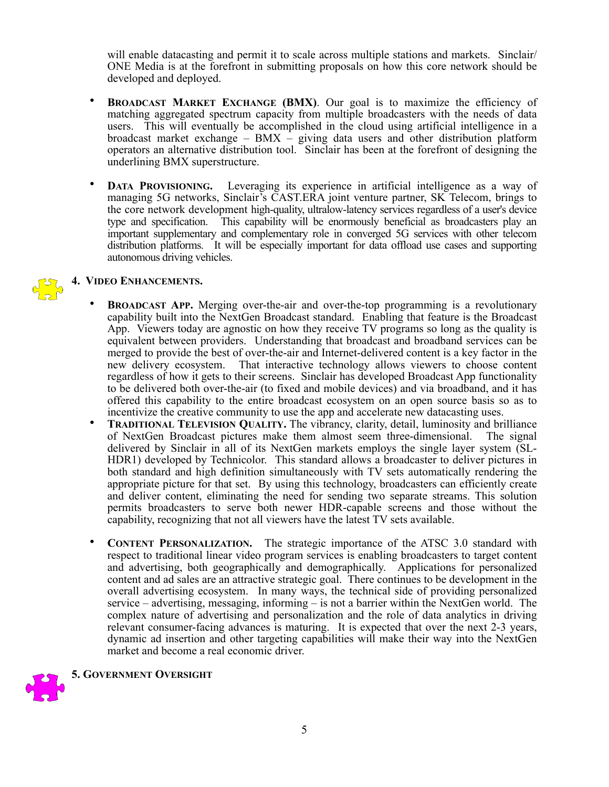will enable datacasting and permit it to scale across multiple stations and markets. Sinclair/ ONE Media is at the forefront in submitting proposals on how this core network should be developed and deployed.

- **BROADCAST MARKET EXCHANGE (BMX).** Our goal is to maximize the efficiency of matching aggregated spectrum capacity from multiple broadcasters with the needs of data users. This will eventually be accomplished in the cloud using artificial intelligence in a broadcast market exchange – BMX – giving data users and other distribution platform operators an alternative distribution tool. Sinclair has been at the forefront of designing the underlining BMX superstructure.
- **DATA PROVISIONING.** Leveraging its experience in artificial intelligence as a way of managing 5G networks, Sinclair's CAST.ERA joint venture partner, SK Telecom, brings to the core network development high-quality, ultralow-latency services regardless of a user's device type and specification. This capability will be enormously beneficial as broadcasters play an important supplementary and complementary role in converged 5G services with other telecom distribution platforms. It will be especially important for data offload use cases and supporting autonomous driving vehicles.

# **4. VIDEO ENHANCEMENTS.**

- **BROADCAST APP.** Merging over-the-air and over-the-top programming is a revolutionary capability built into the NextGen Broadcast standard. Enabling that feature is the Broadcast App. Viewers today are agnostic on how they receive TV programs so long as the quality is equivalent between providers. Understanding that broadcast and broadband services can be merged to provide the best of over-the-air and Internet-delivered content is a key factor in the new delivery ecosystem. That interactive technology allows viewers to choose content regardless of how it gets to their screens. Sinclair has developed Broadcast App functionality to be delivered both over-the-air (to fixed and mobile devices) and via broadband, and it has offered this capability to the entire broadcast ecosystem on an open source basis so as to incentivize the creative community to use the app and accelerate new datacasting uses.
- **TRADITIONAL TELEVISION OUALITY.** The vibrancy, clarity, detail, luminosity and brilliance of NextGen Broadcast pictures make them almost seem three-dimensional. The signal delivered by Sinclair in all of its NextGen markets employs the single layer system (SL-HDR1) developed by Technicolor. This standard allows a broadcaster to deliver pictures in both standard and high definition simultaneously with TV sets automatically rendering the appropriate picture for that set. By using this technology, broadcasters can efficiently create and deliver content, eliminating the need for sending two separate streams. This solution permits broadcasters to serve both newer HDR-capable screens and those without the capability, recognizing that not all viewers have the latest TV sets available.
- **CONTENT PERSONALIZATION.** The strategic importance of the ATSC 3.0 standard with respect to traditional linear video program services is enabling broadcasters to target content and advertising, both geographically and demographically. Applications for personalized content and ad sales are an attractive strategic goal. There continues to be development in the overall advertising ecosystem. In many ways, the technical side of providing personalized service – advertising, messaging, informing – is not a barrier within the NextGen world. The complex nature of advertising and personalization and the role of data analytics in driving relevant consumer-facing advances is maturing. It is expected that over the next 2-3 years, dynamic ad insertion and other targeting capabilities will make their way into the NextGen market and become a real economic driver.



5